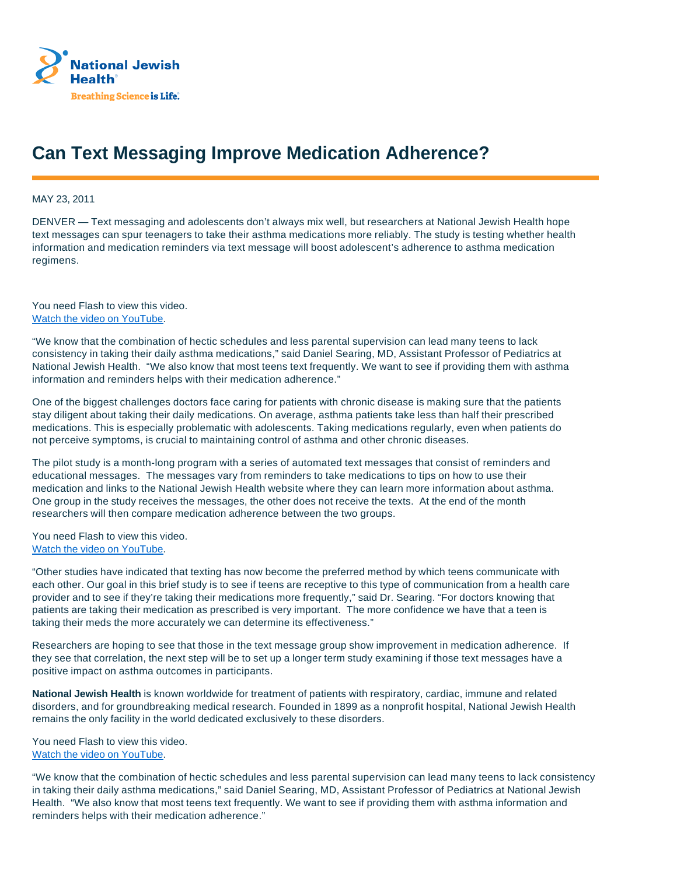

## **Can Text Messaging Improve Medication Adherence?**

MAY 23, 2011

DENVER — Text messaging and adolescents don't always mix well, but researchers at National Jewish Health hope text messages can spur teenagers to take their asthma medications more reliably. The study is testing whether health information and medication reminders via text message will boost adolescent's adherence to asthma medication regimens.

You need Flash to view this video. Watch the video on YouTube.

"We know that the combination of hectic schedules and less parental supervision can lead many teens to lack consistency in taking their daily asthma medications," said Daniel Searing, MD, Assistant Professor of Pediatrics at National Jewish Health. "We also know that most teens text frequently. We want to see if providing them with asthma information and reminders helps with their medication adherence."

One of the biggest challenges doctors face caring for patients with chronic disease is making sure that the patients stay diligent about taking their daily medications. On average, asthma patients take less than half their prescribed medications. This is especially problematic with adolescents. Taking medications regularly, even when patients do not perceive symptoms, is crucial to maintaining control of asthma and other chronic diseases.

The pilot study is a month-long program with a series of automated text messages that consist of reminders and educational messages. The messages vary from reminders to take medications to tips on how to use their medication and links to the National Jewish Health website where they can learn more information about asthma. One group in the study receives the messages, the other does not receive the texts. At the end of the month researchers will then compare medication adherence between the two groups.

You need Flash to view this video. Watch the video on YouTube.

"Other studies have indicated that texting has now become the preferred method by which teens communicate with each other. Our goal in this brief study is to see if teens are receptive to this type of communication from a health care provider and to see if they're taking their medications more frequently," said Dr. Searing. "For doctors knowing that patients are taking their medication as prescribed is very important. The more confidence we have that a teen is taking their meds the more accurately we can determine its effectiveness."

Researchers are hoping to see that those in the text message group show improvement in medication adherence. If they see that correlation, the next step will be to set up a longer term study examining if those text messages have a positive impact on asthma outcomes in participants.

**National Jewish Health** is known worldwide for treatment of patients with respiratory, cardiac, immune and related disorders, and for groundbreaking medical research. Founded in 1899 as a nonprofit hospital, National Jewish Health remains the only facility in the world dedicated exclusively to these disorders.

You need Flash to view this video. Watch the video on YouTube.

"We know that the combination of hectic schedules and less parental supervision can lead many teens to lack consistency in taking their daily asthma medications," said Daniel Searing, MD, Assistant Professor of Pediatrics at National Jewish Health. "We also know that most teens text frequently. We want to see if providing them with asthma information and reminders helps with their medication adherence."